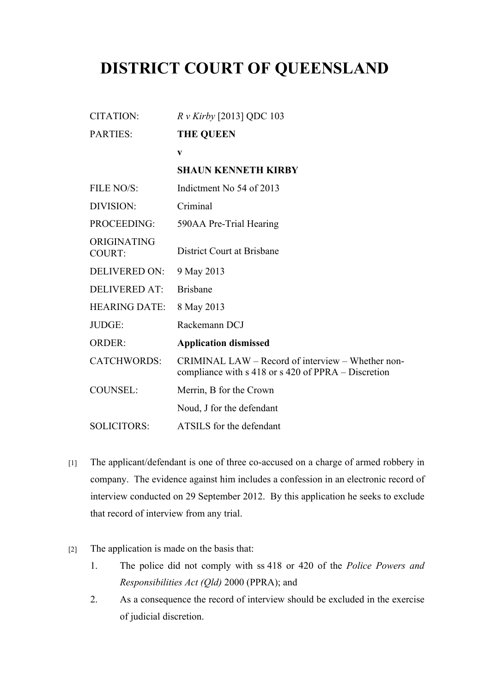## **DISTRICT COURT OF QUEENSLAND**

CITATION: *R v Kirby* [2013] QDC 103

| PARTIES:                     | <b>THE QUEEN</b>                                                                                         |
|------------------------------|----------------------------------------------------------------------------------------------------------|
|                              | $\mathbf{V}$                                                                                             |
|                              | <b>SHAUN KENNETH KIRBY</b>                                                                               |
| FILE NO/S:                   | Indictment No 54 of 2013                                                                                 |
| DIVISION:                    | Criminal                                                                                                 |
| PROCEEDING:                  | 590AA Pre-Trial Hearing                                                                                  |
| ORIGINATING<br><b>COURT:</b> | District Court at Brisbane                                                                               |
| <b>DELIVERED ON:</b>         | 9 May 2013                                                                                               |
| <b>DELIVERED AT:</b>         | <b>Brisbane</b>                                                                                          |
| <b>HEARING DATE:</b>         | 8 May 2013                                                                                               |
| JUDGE:                       | Rackemann DCJ                                                                                            |
| <b>ORDER:</b>                | <b>Application dismissed</b>                                                                             |
| <b>CATCHWORDS:</b>           | CRIMINAL LAW – Record of interview – Whether non-<br>compliance with s 418 or s 420 of PPRA – Discretion |
| <b>COUNSEL:</b>              | Merrin, B for the Crown                                                                                  |
|                              | Noud, J for the defendant                                                                                |
| <b>SOLICITORS:</b>           | ATSILS for the defendant                                                                                 |
|                              |                                                                                                          |

- [1] The applicant/defendant is one of three co-accused on a charge of armed robbery in company. The evidence against him includes a confession in an electronic record of interview conducted on 29 September 2012. By this application he seeks to exclude that record of interview from any trial.
- [2] The application is made on the basis that:
	- 1. The police did not comply with ss 418 or 420 of the *Police Powers and Responsibilities Act (Qld)* 2000 (PPRA); and
	- 2. As a consequence the record of interview should be excluded in the exercise of judicial discretion.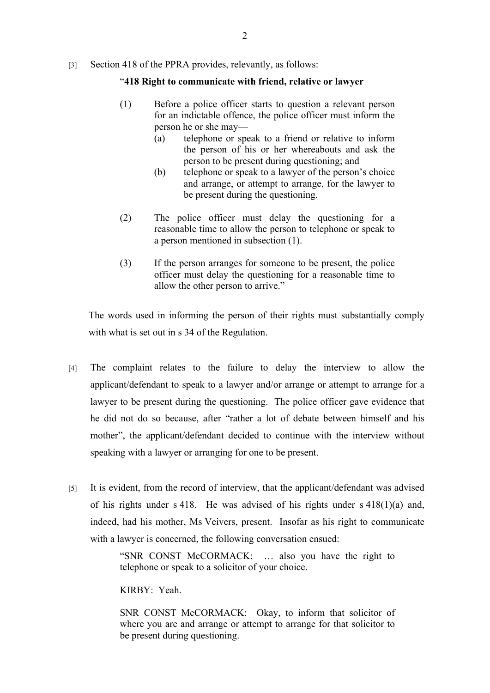## [3] Section 418 of the PPRA provides, relevantly, as follows:

## "**418 Right to communicate with friend, relative or lawyer**

- (1) Before a police officer starts to question a relevant person for an indictable offence, the police officer must inform the person he or she may—
	- (a) telephone or speak to a friend or relative to inform the person of his or her whereabouts and ask the person to be present during questioning; and
	- (b) telephone or speak to a lawyer of the person's choice and arrange, or attempt to arrange, for the lawyer to be present during the questioning.
- (2) The police officer must delay the questioning for a reasonable time to allow the person to telephone or speak to a person mentioned in subsection (1).
- (3) If the person arranges for someone to be present, the police officer must delay the questioning for a reasonable time to allow the other person to arrive."

The words used in informing the person of their rights must substantially comply with what is set out in s 34 of the Regulation.

- [4] The complaint relates to the failure to delay the interview to allow the applicant/defendant to speak to a lawyer and/or arrange or attempt to arrange for a lawyer to be present during the questioning. The police officer gave evidence that he did not do so because, after "rather a lot of debate between himself and his mother", the applicant/defendant decided to continue with the interview without speaking with a lawyer or arranging for one to be present.
- [5] It is evident, from the record of interview, that the applicant/defendant was advised of his rights under s 418. He was advised of his rights under s 418(1)(a) and, indeed, had his mother, Ms Veivers, present. Insofar as his right to communicate with a lawyer is concerned, the following conversation ensued:

"SNR CONST McCORMACK: … also you have the right to telephone or speak to a solicitor of your choice.

KIRBY: Yeah.

SNR CONST McCORMACK: Okay, to inform that solicitor of where you are and arrange or attempt to arrange for that solicitor to be present during questioning.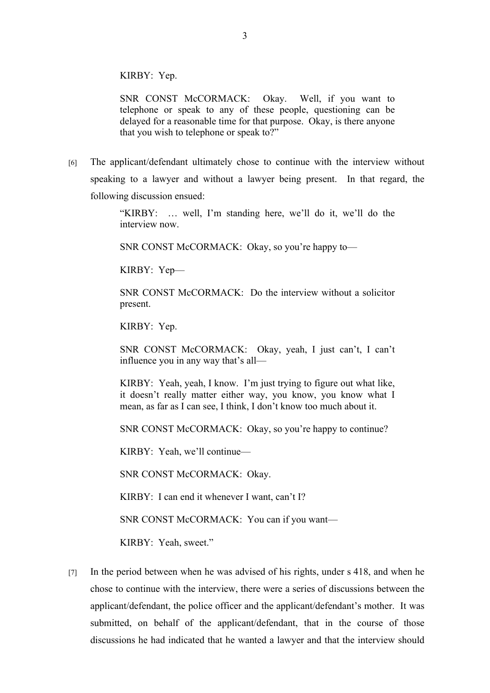KIRBY: Yep.

SNR CONST McCORMACK: Okay. Well, if you want to telephone or speak to any of these people, questioning can be delayed for a reasonable time for that purpose. Okay, is there anyone that you wish to telephone or speak to?"

[6] The applicant/defendant ultimately chose to continue with the interview without speaking to a lawyer and without a lawyer being present. In that regard, the following discussion ensued:

> "KIRBY: … well, I'm standing here, we'll do it, we'll do the interview now.

SNR CONST McCORMACK: Okay, so you're happy to—

KIRBY: Yep—

SNR CONST McCORMACK: Do the interview without a solicitor present.

KIRBY: Yep.

SNR CONST McCORMACK: Okay, yeah, I just can't, I can't influence you in any way that's all—

KIRBY: Yeah, yeah, I know. I'm just trying to figure out what like, it doesn't really matter either way, you know, you know what I mean, as far as I can see, I think, I don't know too much about it.

SNR CONST McCORMACK: Okay, so you're happy to continue?

KIRBY: Yeah, we'll continue—

SNR CONST McCORMACK: Okay.

KIRBY: I can end it whenever I want, can't I?

SNR CONST McCORMACK: You can if you want—

KIRBY: Yeah, sweet."

[7] In the period between when he was advised of his rights, under s 418, and when he chose to continue with the interview, there were a series of discussions between the applicant/defendant, the police officer and the applicant/defendant's mother. It was submitted, on behalf of the applicant/defendant, that in the course of those discussions he had indicated that he wanted a lawyer and that the interview should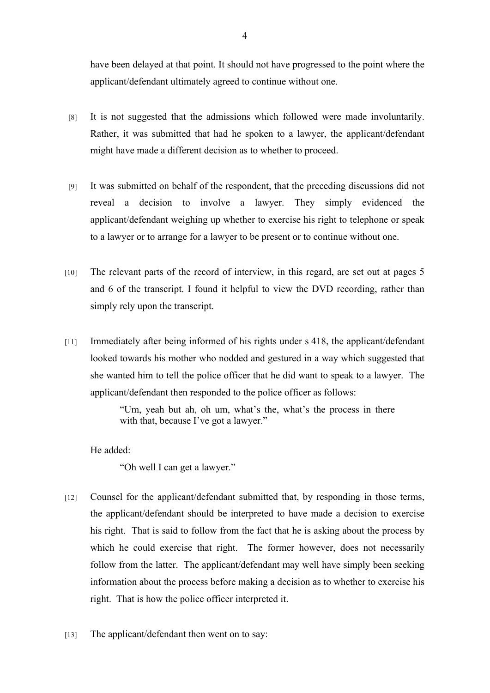have been delayed at that point. It should not have progressed to the point where the applicant/defendant ultimately agreed to continue without one.

- [8] It is not suggested that the admissions which followed were made involuntarily. Rather, it was submitted that had he spoken to a lawyer, the applicant/defendant might have made a different decision as to whether to proceed.
- [9] It was submitted on behalf of the respondent, that the preceding discussions did not reveal a decision to involve a lawyer. They simply evidenced the applicant/defendant weighing up whether to exercise his right to telephone or speak to a lawyer or to arrange for a lawyer to be present or to continue without one.
- [10] The relevant parts of the record of interview, in this regard, are set out at pages 5 and 6 of the transcript. I found it helpful to view the DVD recording, rather than simply rely upon the transcript.
- [11] Immediately after being informed of his rights under s 418, the applicant/defendant looked towards his mother who nodded and gestured in a way which suggested that she wanted him to tell the police officer that he did want to speak to a lawyer. The applicant/defendant then responded to the police officer as follows:

"Um, yeah but ah, oh um, what's the, what's the process in there with that, because I've got a lawyer."

He added:

"Oh well I can get a lawyer."

- [12] Counsel for the applicant/defendant submitted that, by responding in those terms, the applicant/defendant should be interpreted to have made a decision to exercise his right. That is said to follow from the fact that he is asking about the process by which he could exercise that right. The former however, does not necessarily follow from the latter. The applicant/defendant may well have simply been seeking information about the process before making a decision as to whether to exercise his right. That is how the police officer interpreted it.
- [13] The applicant/defendant then went on to say: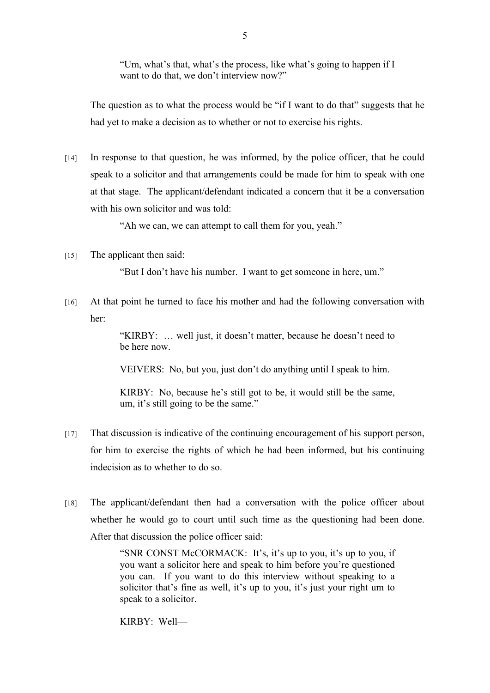"Um, what's that, what's the process, like what's going to happen if I want to do that, we don't interview now?"

The question as to what the process would be "if I want to do that" suggests that he had yet to make a decision as to whether or not to exercise his rights.

[14] In response to that question, he was informed, by the police officer, that he could speak to a solicitor and that arrangements could be made for him to speak with one at that stage. The applicant/defendant indicated a concern that it be a conversation with his own solicitor and was told:

"Ah we can, we can attempt to call them for you, yeah."

[15] The applicant then said:

"But I don't have his number. I want to get someone in here, um."

[16] At that point he turned to face his mother and had the following conversation with her:

> "KIRBY: … well just, it doesn't matter, because he doesn't need to be here now.

VEIVERS: No, but you, just don't do anything until I speak to him.

KIRBY: No, because he's still got to be, it would still be the same, um, it's still going to be the same."

- [17] That discussion is indicative of the continuing encouragement of his support person, for him to exercise the rights of which he had been informed, but his continuing indecision as to whether to do so.
- [18] The applicant/defendant then had a conversation with the police officer about whether he would go to court until such time as the questioning had been done. After that discussion the police officer said:

"SNR CONST McCORMACK: It's, it's up to you, it's up to you, if you want a solicitor here and speak to him before you're questioned you can. If you want to do this interview without speaking to a solicitor that's fine as well, it's up to you, it's just your right um to speak to a solicitor.

KIRBY: Well—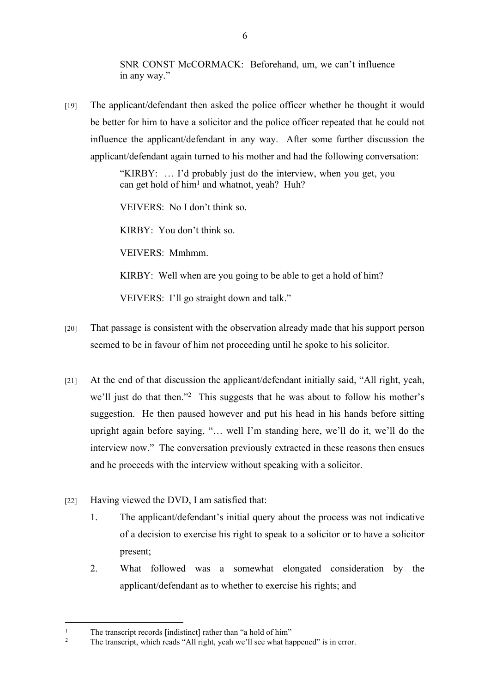SNR CONST McCORMACK: Beforehand, um, we can't influence in any way."

[19] The applicant/defendant then asked the police officer whether he thought it would be better for him to have a solicitor and the police officer repeated that he could not influence the applicant/defendant in any way. After some further discussion the applicant/defendant again turned to his mother and had the following conversation:

> "KIRBY: … I'd probably just do the interview, when you get, you can get hold of him<sup>1</sup> and whatnot, yeah? Huh?

VEIVERS: No I don't think so.

KIRBY: You don't think so.

VEIVERS: Mmhmm.

KIRBY: Well when are you going to be able to get a hold of him?

VEIVERS: I'll go straight down and talk."

- [20] That passage is consistent with the observation already made that his support person seemed to be in favour of him not proceeding until he spoke to his solicitor.
- [21] At the end of that discussion the applicant/defendant initially said, "All right, yeah, we'll just do that then."<sup>2</sup> This suggests that he was about to follow his mother's suggestion. He then paused however and put his head in his hands before sitting upright again before saying, "… well I'm standing here, we'll do it, we'll do the interview now." The conversation previously extracted in these reasons then ensues and he proceeds with the interview without speaking with a solicitor.
- [22] Having viewed the DVD, I am satisfied that:
	- 1. The applicant/defendant's initial query about the process was not indicative of a decision to exercise his right to speak to a solicitor or to have a solicitor present;
	- 2. What followed was a somewhat elongated consideration by the applicant/defendant as to whether to exercise his rights; and

<sup>1</sup> The transcript records [indistinct] rather than "a hold of him"

<sup>2</sup> The transcript, which reads "All right, yeah we'll see what happened" is in error.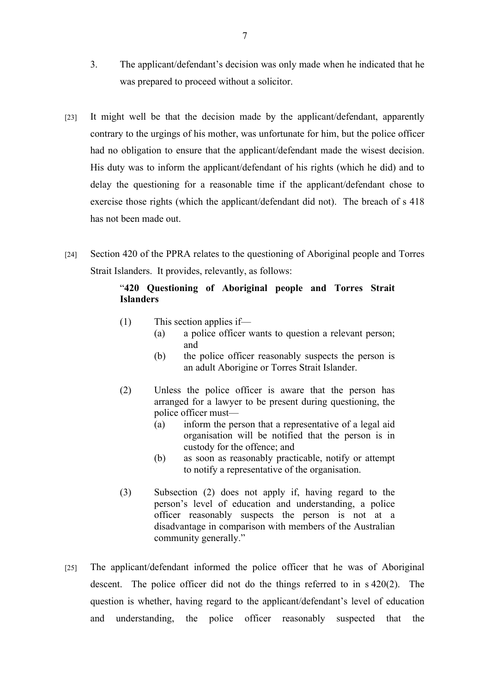- 3. The applicant/defendant's decision was only made when he indicated that he was prepared to proceed without a solicitor.
- [23] It might well be that the decision made by the applicant/defendant, apparently contrary to the urgings of his mother, was unfortunate for him, but the police officer had no obligation to ensure that the applicant/defendant made the wisest decision. His duty was to inform the applicant/defendant of his rights (which he did) and to delay the questioning for a reasonable time if the applicant/defendant chose to exercise those rights (which the applicant/defendant did not). The breach of s 418 has not been made out.
- [24] Section 420 of the PPRA relates to the questioning of Aboriginal people and Torres Strait Islanders. It provides, relevantly, as follows:

## "**420 Questioning of Aboriginal people and Torres Strait Islanders**

- (1) This section applies if—
	- (a) a police officer wants to question a relevant person; and
	- (b) the police officer reasonably suspects the person is an adult Aborigine or Torres Strait Islander.
- (2) Unless the police officer is aware that the person has arranged for a lawyer to be present during questioning, the police officer must—
	- (a) inform the person that a representative of a legal aid organisation will be notified that the person is in custody for the offence; and
	- (b) as soon as reasonably practicable, notify or attempt to notify a representative of the organisation.
- (3) Subsection (2) does not apply if, having regard to the person's level of education and understanding, a police officer reasonably suspects the person is not at a disadvantage in comparison with members of the Australian community generally."
- [25] The applicant/defendant informed the police officer that he was of Aboriginal descent. The police officer did not do the things referred to in s 420(2). The question is whether, having regard to the applicant/defendant's level of education and understanding, the police officer reasonably suspected that the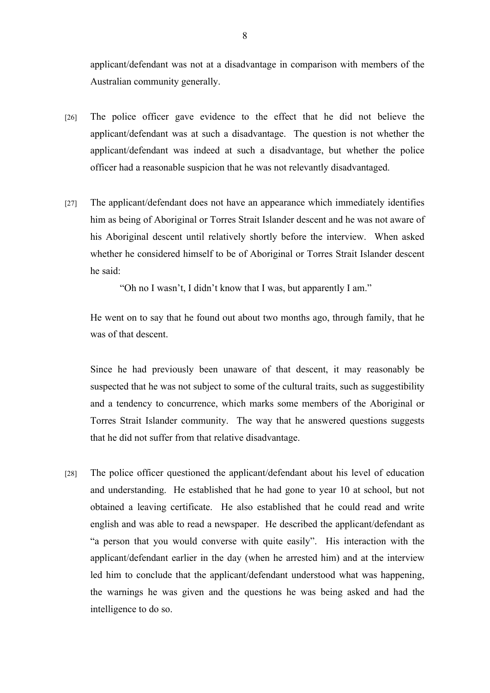applicant/defendant was not at a disadvantage in comparison with members of the Australian community generally.

- [26] The police officer gave evidence to the effect that he did not believe the applicant/defendant was at such a disadvantage. The question is not whether the applicant/defendant was indeed at such a disadvantage, but whether the police officer had a reasonable suspicion that he was not relevantly disadvantaged.
- [27] The applicant/defendant does not have an appearance which immediately identifies him as being of Aboriginal or Torres Strait Islander descent and he was not aware of his Aboriginal descent until relatively shortly before the interview. When asked whether he considered himself to be of Aboriginal or Torres Strait Islander descent he said:

"Oh no I wasn't, I didn't know that I was, but apparently I am."

He went on to say that he found out about two months ago, through family, that he was of that descent.

Since he had previously been unaware of that descent, it may reasonably be suspected that he was not subject to some of the cultural traits, such as suggestibility and a tendency to concurrence, which marks some members of the Aboriginal or Torres Strait Islander community. The way that he answered questions suggests that he did not suffer from that relative disadvantage.

[28] The police officer questioned the applicant/defendant about his level of education and understanding. He established that he had gone to year 10 at school, but not obtained a leaving certificate. He also established that he could read and write english and was able to read a newspaper. He described the applicant/defendant as "a person that you would converse with quite easily". His interaction with the applicant/defendant earlier in the day (when he arrested him) and at the interview led him to conclude that the applicant/defendant understood what was happening, the warnings he was given and the questions he was being asked and had the intelligence to do so.